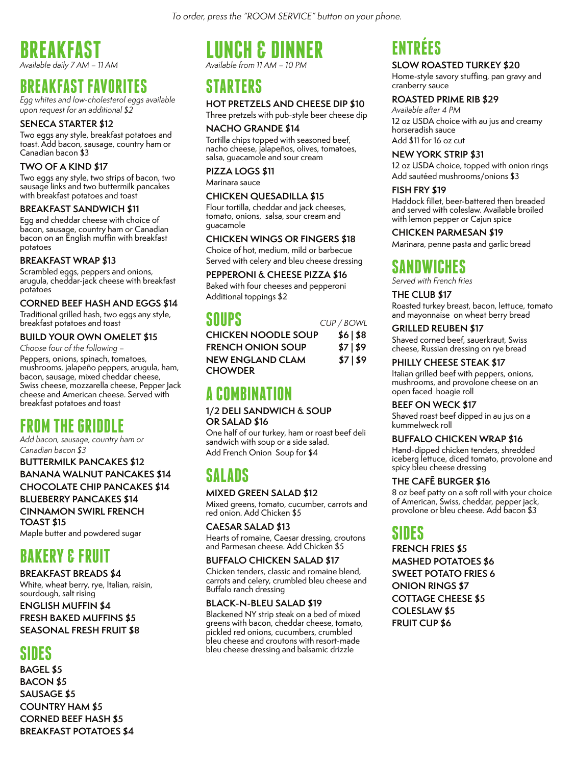*To order, press the "ROOM SERVICE" button on your phone.*

### **BREAKFAST** *Available daily 7 AM – 11 AM*

### **BREAKFAST FAVORITES**

*Egg whites and low-cholesterol eggs available upon request for an additional \$2*

#### **SENECA STARTER \$12**

Two eggs any style, breakfast potatoes and toast. Add bacon, sausage, country ham or Canadian bacon \$3

#### **TWO OF A KIND \$17**

Two eggs any style, two strips of bacon, two sausage links and two buttermilk pancakes with breakfast potatoes and toast

#### **BREAKFAST SANDWICH \$11**

Egg and cheddar cheese with choice of bacon, sausage, country ham or Canadian bacon on an English muffin with breakfast potatoes

#### **BREAKFAST WRAP \$13**

Scrambled eggs, peppers and onions, arugula, cheddar-jack cheese with breakfast potatoes

#### **CORNED BEEF HASH AND EGGS \$14**

Traditional grilled hash, two eggs any style, breakfast potatoes and toast

#### **BUILD YOUR OWN OMELET \$15**

*Choose four of the following –* Peppers, onions, spinach, tomatoes, mushrooms, jalapeño peppers, arugula, ham, bacon, sausage, mixed cheddar cheese, Swiss cheese, mozzarella cheese, Pepper Jack cheese and American cheese. Served with breakfast potatoes and toast

# **FROM THE GRIDDLE**

*Add bacon, sausage, country ham or Canadian bacon \$3*

**BUTTERMILK PANCAKES \$12 BANANA WALNUT PANCAKES \$14 CHOCOLATE CHIP PANCAKES \$14**

**BLUEBERRY PANCAKES \$14 CINNAMON SWIRL FRENCH TOAST \$15**

Maple butter and powdered sugar

# **BAKERY & FRUIT**

#### **BREAKFAST BREADS \$4**

White, wheat berry, rye, Italian, raisin, sourdough, salt rising

**ENGLISH MUFFIN \$4 FRESH BAKED MUFFINS \$5 SEASONAL FRESH FRUIT \$8**

# **SIDES**

**BAGEL \$5 BACON \$5 SAUSAGE \$5 COUNTRY HAM \$5 CORNED BEEF HASH \$5 BREAKFAST POTATOES \$4**

### **LUNCH & DINNER** *Available from 11 AM – 10 PM*

**STARTERS** 

#### **HOT PRETZELS AND CHEESE DIP \$10**

Three pretzels with pub-style beer cheese dip

#### **NACHO GRANDE \$14**

Tortilla chips topped with seasoned beef, nacho cheese, jalapeños, olives, tomatoes, salsa, guacamole and sour cream

#### **PIZZA LOGS \$11**

Marinara sauce

#### **CHICKEN QUESADILLA \$15**

Flour tortilla, cheddar and jack cheeses, tomato, onions, salsa, sour cream and guacamole

#### **CHICKEN WINGS OR FINGERS \$18**

Choice of hot, medium, mild or barbecue Served with celery and bleu cheese dressing

#### **PEPPERONI & CHEESE PIZZA \$16**

Baked with four cheeses and pepperoni Additional toppings \$2

### **SOUPS** *CUP / BOWL*

| <b>CHICKEN NOODLE SOUP</b> | \$6  \$8 |
|----------------------------|----------|
| <b>FRENCH ONION SOUP</b>   | \$7  \$9 |
| <b>NEW ENGLAND CLAM</b>    | \$7 \$9  |
| <b>CHOWDER</b>             |          |

# **A COMBINATION**

#### **1/2 DELI SANDWICH & SOUP OR SALAD \$16**

One half of our turkey, ham or roast beef deli sandwich with soup or a side salad. Add French Onion Soup for \$4

# **SALADS**

#### **MIXED GREEN SALAD \$12**

Mixed greens, tomato, cucumber, carrots and red onion. Add Chicken \$5

#### **CAESAR SALAD \$13**

Hearts of romaine, Caesar dressing, croutons and Parmesan cheese. Add Chicken \$5

#### **BUFFALO CHICKEN SALAD \$17**

Chicken tenders, classic and romaine blend, carrots and celery, crumbled bleu cheese and Buffalo ranch dressing

#### **BLACK-N-BLEU SALAD \$19**

Blackened NY strip steak on a bed of mixed greens with bacon, cheddar cheese, tomato, pickled red onions, cucumbers, crumbled bleu cheese and croutons with resort-made bleu cheese dressing and balsamic drizzle

# **ENTRÉES**

#### **SLOW ROASTED TURKEY \$20**

Home-style savory stuffing, pan gravy and cranberry sauce

#### **ROASTED PRIME RIB \$29**

*Available after 4 PM*  12 oz USDA choice with au jus and creamy horseradish sauce Add \$11 for 16 oz cut

#### **NEW YORK STRIP \$31**

12 oz USDA choice, topped with onion rings Add sautéed mushrooms/onions \$3

#### **FISH FRY \$19**

Haddock fillet, beer-battered then breaded and served with coleslaw. Available broiled with lemon pepper or Cajun spice

#### **CHICKEN PARMESAN \$19**

Marinara, penne pasta and garlic bread

### **SANDWICHES**

*Served with French fries*

#### **THE CLUB \$17**

Roasted turkey breast, bacon, lettuce, tomato and mayonnaise on wheat berry bread

**GRILLED REUBEN \$17**

Shaved corned beef, sauerkraut, Swiss cheese, Russian dressing on rye bread

#### **PHILLY CHEESE STEAK \$17**

Italian grilled beef with peppers, onions, mushrooms, and provolone cheese on an open faced hoagie roll

#### **BEEF ON WECK \$17**

Shaved roast beef dipped in au jus on a kummelweck roll

#### **BUFFALO CHICKEN WRAP \$16**

Hand-dipped chicken tenders, shredded iceberg lettuce, diced tomato, provolone and spicy bleu cheese dressing

#### **THE CAFÉ BURGER \$16**

8 oz beef patty on a soft roll with your choice of American, Świss, cheddar, pepper jack, provolone or bleu cheese. Add bacon \$3

# **SIDES**

**FRENCH FRIES \$5 MASHED POTATOES \$6 SWEET POTATO FRIES 6 ONION RINGS \$7 COTTAGE CHEESE \$5 COLESLAW \$5 FRUIT CUP \$6**